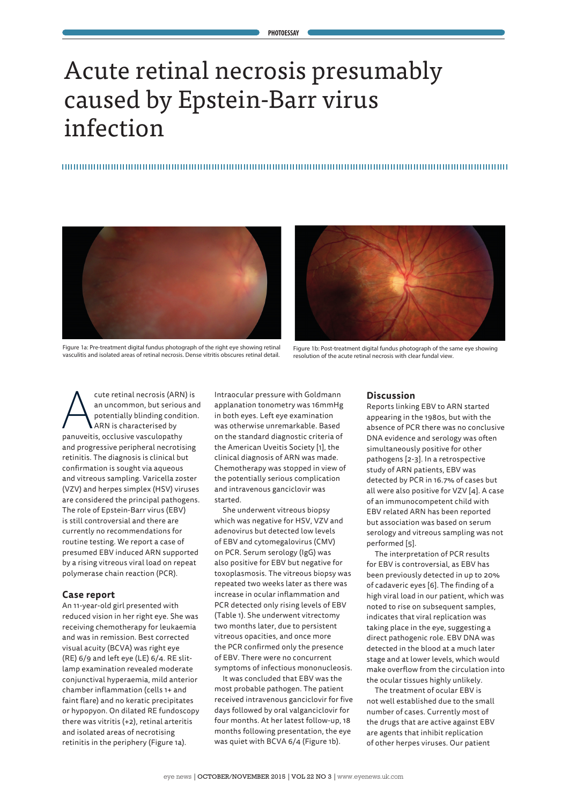# Acute retinal necrosis presumably caused by Epstein-Barr virus infection





Figure 1a: Pre-treatment digital fundus photograph of the right eye showing retinal vasculitis and isolated areas of retinal necrosis. Dense vitritis obscures retinal detail.

Figure 1b: Post-treatment digital fundus photograph of the same eye showing resolution of the acute retinal necrosis with clear fundal view.

cute retinal necrosis (ARN) is<br>an uncommon, but serious an<br>potentially blinding condition<br>anuveitis. occlusive vasculopathy an uncommon, but serious and potentially blinding condition. ARN is characterised by panuveitis, occlusive vasculopathy and progressive peripheral necrotising retinitis. The diagnosis is clinical but confirmation is sought via aqueous and vitreous sampling. Varicella zoster (VZV) and herpes simplex (HSV) viruses are considered the principal pathogens. The role of Epstein-Barr virus (EBV) is still controversial and there are currently no recommendations for routine testing. We report a case of presumed EBV induced ARN supported by a rising vitreous viral load on repeat polymerase chain reaction (PCR).

#### **Case report**

An 11-year-old girl presented with reduced vision in her right eye. She was receiving chemotherapy for leukaemia and was in remission. Best corrected visual acuity (BCVA) was right eye (RE) 6/9 and left eye (LE) 6/4. RE slitlamp examination revealed moderate conjunctival hyperaemia, mild anterior chamber inflammation (cells 1+ and faint flare) and no keratic precipitates or hypopyon. On dilated RE fundoscopy there was vitritis (+2), retinal arteritis and isolated areas of necrotising retinitis in the periphery (Figure 1a).

Intraocular pressure with Goldmann applanation tonometry was 16mmHg in both eyes. Left eye examination was otherwise unremarkable. Based on the standard diagnostic criteria of the American Uveitis Society [1], the clinical diagnosis of ARN was made. Chemotherapy was stopped in view of the potentially serious complication and intravenous ganciclovir was started.

She underwent vitreous biopsy which was negative for HSV, VZV and adenovirus but detected low levels of EBV and cytomegalovirus (CMV) on PCR. Serum serology (IgG) was also positive for EBV but negative for toxoplasmosis. The vitreous biopsy was repeated two weeks later as there was increase in ocular inflammation and PCR detected only rising levels of EBV (Table 1). She underwent vitrectomy two months later, due to persistent vitreous opacities, and once more the PCR confirmed only the presence of EBV. There were no concurrent symptoms of infectious mononucleosis.

It was concluded that EBV was the most probable pathogen. The patient received intravenous ganciclovir for five days followed by oral valganciclovir for four months. At her latest follow-up, 18 months following presentation, the eye was quiet with BCVA 6/4 (Figure 1b).

### **Discussion**

Reports linking EBV to ARN started appearing in the 1980s, but with the absence of PCR there was no conclusive DNA evidence and serology was often simultaneously positive for other pathogens [2-3]. In a retrospective study of ARN patients, EBV was detected by PCR in 16.7% of cases but all were also positive for VZV [4]. A case of an immunocompetent child with EBV related ARN has been reported but association was based on serum serology and vitreous sampling was not performed [5].

The interpretation of PCR results for EBV is controversial, as EBV has been previously detected in up to 20% of cadaveric eyes [6]. The finding of a high viral load in our patient, which was noted to rise on subsequent samples, indicates that viral replication was taking place in the eye, suggesting a direct pathogenic role. EBV DNA was detected in the blood at a much later stage and at lower levels, which would make overflow from the circulation into the ocular tissues highly unlikely.

The treatment of ocular EBV is not well established due to the small number of cases. Currently most of the drugs that are active against EBV are agents that inhibit replication of other herpes viruses. Our patient